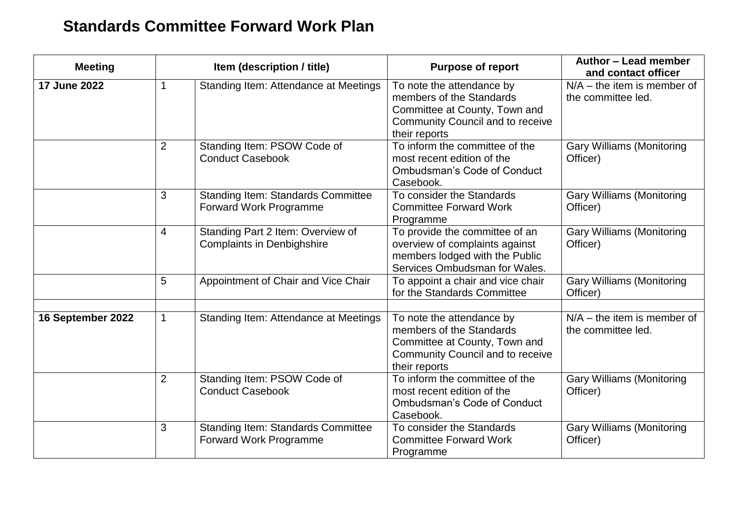## **Standards Committee Forward Work Plan**

| <b>Meeting</b>    |                | Item (description / title)                                             | <b>Purpose of report</b><br>To note the attendance by<br>members of the Standards<br>Committee at County, Town and<br>Community Council and to receive<br>their reports | Author - Lead member<br>and contact officer<br>$N/A$ – the item is member of<br>the committee led. |
|-------------------|----------------|------------------------------------------------------------------------|-------------------------------------------------------------------------------------------------------------------------------------------------------------------------|----------------------------------------------------------------------------------------------------|
| 17 June 2022      |                | Standing Item: Attendance at Meetings                                  |                                                                                                                                                                         |                                                                                                    |
|                   | $\overline{2}$ | Standing Item: PSOW Code of<br><b>Conduct Casebook</b>                 | To inform the committee of the<br>most recent edition of the<br><b>Ombudsman's Code of Conduct</b><br>Casebook.                                                         | <b>Gary Williams (Monitoring</b><br>Officer)                                                       |
|                   | 3              | <b>Standing Item: Standards Committee</b><br>Forward Work Programme    | To consider the Standards<br><b>Committee Forward Work</b><br>Programme                                                                                                 | <b>Gary Williams (Monitoring</b><br>Officer)                                                       |
|                   | $\overline{4}$ | Standing Part 2 Item: Overview of<br><b>Complaints in Denbighshire</b> | To provide the committee of an<br>overview of complaints against<br>members lodged with the Public<br>Services Ombudsman for Wales.                                     | <b>Gary Williams (Monitoring</b><br>Officer)                                                       |
|                   | 5              | Appointment of Chair and Vice Chair                                    | To appoint a chair and vice chair<br>for the Standards Committee                                                                                                        | <b>Gary Williams (Monitoring</b><br>Officer)                                                       |
| 16 September 2022 | 1              | Standing Item: Attendance at Meetings                                  | To note the attendance by<br>members of the Standards<br>Committee at County, Town and<br>Community Council and to receive<br>their reports                             | $N/A$ – the item is member of<br>the committee led.                                                |
|                   | $\overline{2}$ | Standing Item: PSOW Code of<br><b>Conduct Casebook</b>                 | To inform the committee of the<br>most recent edition of the<br><b>Ombudsman's Code of Conduct</b><br>Casebook.                                                         | <b>Gary Williams (Monitoring</b><br>Officer)                                                       |
|                   | 3              | <b>Standing Item: Standards Committee</b><br>Forward Work Programme    | To consider the Standards<br><b>Committee Forward Work</b><br>Programme                                                                                                 | <b>Gary Williams (Monitoring</b><br>Officer)                                                       |